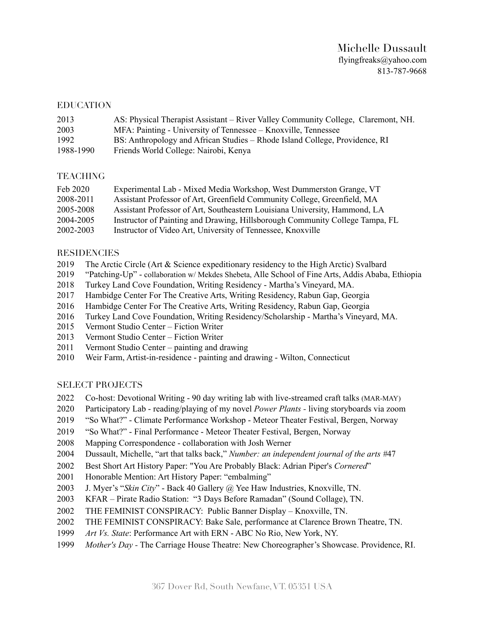# Michelle Dussault [flyingfreaks@yahoo.com](mailto:flyingfreaks@yahoo.com)  813-787-9668

#### EDUCATION

| 2013      | AS: Physical Therapist Assistant – River Valley Community College, Claremont, NH. |
|-----------|-----------------------------------------------------------------------------------|
| 2003      | MFA: Painting - University of Tennessee – Knoxville, Tennessee                    |
| 1992      | BS: Anthropology and African Studies – Rhode Island College, Providence, RI       |
| 1988-1990 | Friends World College: Nairobi, Kenya                                             |

### TEACHING

| Feb 2020  | Experimental Lab - Mixed Media Workshop, West Dummerston Grange, VT          |
|-----------|------------------------------------------------------------------------------|
| 2008-2011 | Assistant Professor of Art, Greenfield Community College, Greenfield, MA     |
| 2005-2008 | Assistant Professor of Art, Southeastern Louisiana University, Hammond, LA   |
| 2004-2005 | Instructor of Painting and Drawing, Hillsborough Community College Tampa, FL |
| 2002-2003 | Instructor of Video Art, University of Tennessee, Knoxville                  |

#### **RESIDENCIES**

- 2019 The Arctic Circle (Art & Science expeditionary residency to the High Arctic) Svalbard
- 2019 "Patching-Up" collaboration w/ Mekdes Shebeta, Alle School of Fine Arts, Addis Ababa, Ethiopia
- 2018 Turkey Land Cove Foundation, Writing Residency Martha's Vineyard, MA.
- 2017 Hambidge Center For The Creative Arts, Writing Residency, Rabun Gap, Georgia
- 2016 Hambidge Center For The Creative Arts, Writing Residency, Rabun Gap, Georgia
- 2016 Turkey Land Cove Foundation, Writing Residency/Scholarship Martha's Vineyard, MA.
- 2015 Vermont Studio Center Fiction Writer
- 2013 Vermont Studio Center Fiction Writer
- 2011 Vermont Studio Center painting and drawing
- 2010 Weir Farm, Artist-in-residence painting and drawing Wilton, Connecticut

### SELECT PROJECTS

- 2022 Co-host: Devotional Writing 90 day writing lab with live-streamed craft talks (MAR-MAY)
- 2020 Participatory Lab reading/playing of my novel *Power Plants* living storyboards via zoom
- 2019 "So What?" Climate Performance Workshop Meteor Theater Festival, Bergen, Norway
- 2019 "So What?" Final Performance Meteor Theater Festival, Bergen, Norway
- 2008 Mapping Correspondence collaboration with Josh Werner
- 2004 Dussault, Michelle, "art that talks back," *Number: an independent journal of the arts #*47
- 2002 Best Short Art History Paper: "You Are Probably Black: Adrian Piper's *Cornered*"
- 2001 Honorable Mention: Art History Paper: "embalming"
- 2003 J. Myer's "*Skin City*" Back 40 Gallery @ Yee Haw Industries, Knoxville, TN.
- 2003 KFAR Pirate Radio Station: "3 Days Before Ramadan" (Sound Collage), TN.
- 2002 THE FEMINIST CONSPIRACY: Public Banner Display Knoxville, TN.
- 2002 THE FEMINIST CONSPIRACY: Bake Sale, performance at Clarence Brown Theatre, TN.
- 1999 *Art Vs. State*: Performance Art with ERN ABC No Rio, New York, NY.
- 1999 *Mother's Day -* The Carriage House Theatre: New Choreographer's Showcase. Providence, RI.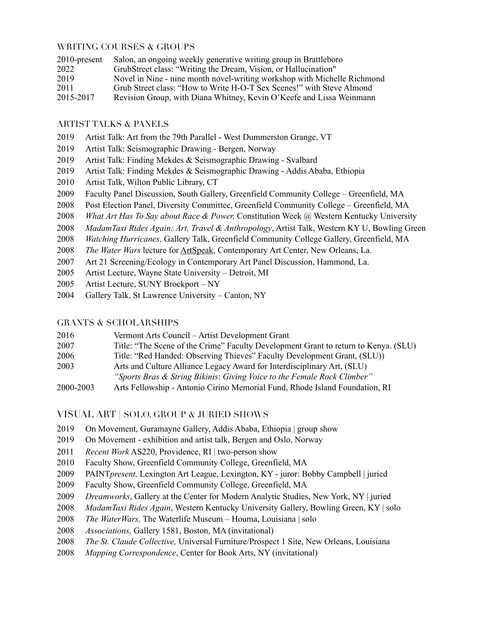### WRITING COURSES & GROUPS

| $2010$ -present | Salon, an ongoing weekly generative writing group in Brattleboro         |
|-----------------|--------------------------------------------------------------------------|
| 2022            | GrubStreet class: "Writing the Dream, Vision, or Hallucination"          |
| 2019            | Novel in Nine - nine month novel-writing workshop with Michelle Richmond |
| 2011            | Grub Street class: "How to Write H-O-T Sex Scenes!" with Steve Almond    |
| 2015-2017       | Revision Group, with Diana Whitney, Kevin O'Keefe and Lissa Weinmann     |

### ARTIST TALKS & PANELS

- 2019 Artist Talk: Art from the 79th Parallel West Dummerston Grange, VT
- 2019 Artist Talk: Seismographic Drawing Bergen, Norway
- 2019 Artist Talk: Finding Mekdes & Seismographic Drawing Svalbard
- 2019 Artist Talk: Finding Mekdes & Seismographic Drawing Addis Ababa, Ethiopia
- 2010 Artist Talk, Wilton Public Library, CT
- 2009 Faculty Panel Discussion, South Gallery, Greenfield Community College Greenfield, MA
- 2008 Post Election Panel, Diversity Committee, Greenfield Community College Greenfield, MA
- 2008 *What Art Has To Say about Race & Power,* Constitution Week @ Western Kentucky University
- 2008 *MadamTaxi Rides Again: Art, Travel & Anthropology*, Artist Talk, Western KY U, Bowling Green
- 2008 *Watching Hurricanes,* Gallery Talk, Greenfield Community College Gallery, Greenfield, MA
- 2008 *The Water Wars* lecture for ArtSpeak, Contemporary Art Center, New Orleans, La.
- 2007 Art 21 Screening/Ecology in Contemporary Art Panel Discussion, Hammond, La.
- 2005 Artist Lecture, Wayne State University Detroit, MI
- 2005 Artist Lecture, SUNY Brockport NY
- 2004 Gallery Talk, St Lawrence University Canton, NY

### GRANTS & SCHOLARSHIPS

| 2016      | Vermont Arts Council – Artist Development Grant                                     |
|-----------|-------------------------------------------------------------------------------------|
| 2007      | Title: "The Scene of the Crime" Faculty Development Grant to return to Kenya. (SLU) |
| 2006      | Title: "Red Handed: Observing Thieves" Faculty Development Grant, (SLU))            |
| 2003      | Arts and Culture Alliance Legacy Award for Interdisciplinary Art, (SLU)             |
|           | "Sports Bras & String Bikinis: Giving Voice to the Female Rock Climber"             |
| 2000-2003 | Arts Fellowship - Antonio Cirino Memorial Fund, Rhode Island Foundation, RI         |

## VISUAL ART | SOLO, GROUP & JURIED SHOWS

- 2019 On Movement, Guramayne Gallery, Addis Ababa, Ethiopia | group show
- 2019 On Movement exhibition and artist talk, Bergen and Oslo, Norway
- 2011 *Recent Work* AS220, Providence, RI | two-person show
- 2010 Faculty Show, Greenfield Community College, Greenfield, MA
- 2009 PAINT*present,* Lexington Art League, Lexington, KY juror: Bobby Campbell | juried
- 2009 Faculty Show, Greenfield Community College, Greenfield, MA
- 2009 *Dreamworks*, Gallery at the Center for Modern Analytic Studies, New York, NY | juried
- 2008 *MadamTaxi Rides Again*, Western Kentucky University Gallery, Bowling Green, KY | solo
- 2008 *The WaterWars,* The Waterlife Museum Houma, Louisiana | solo
- 2008 *Associations,* Gallery 1581, Boston, MA (invitational)
- 2008 *The St. Claude Collective,* Universal Furniture/Prospect 1 Site, New Orleans, Louisiana
- 2008 *Mapping Correspondence*, Center for Book Arts, NY (invitational)